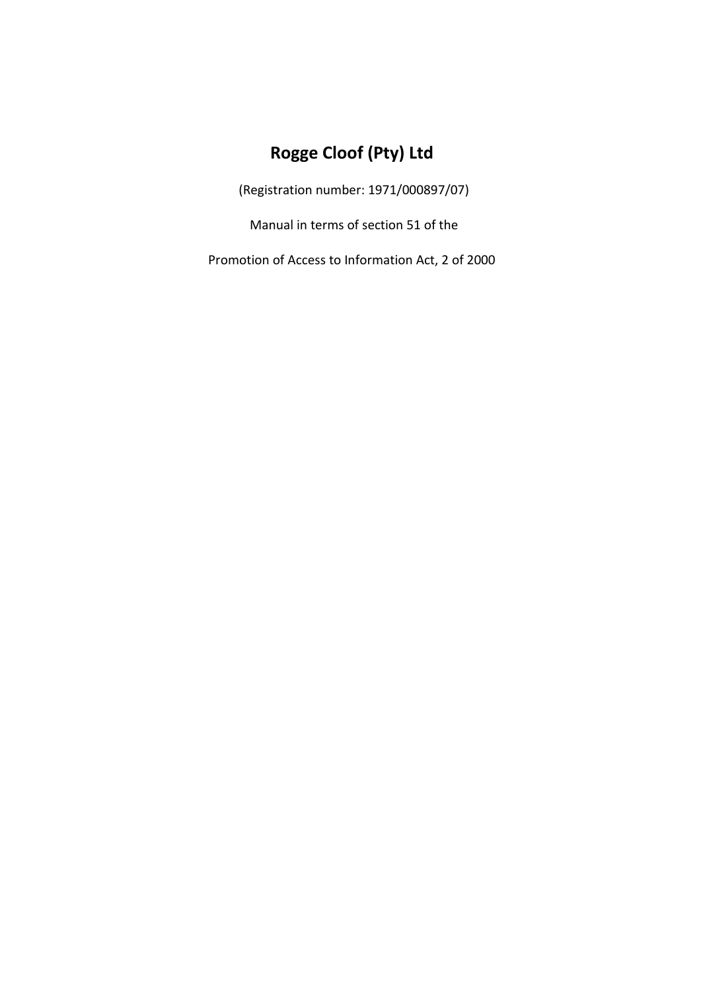# **Rogge Cloof (Pty) Ltd**

(Registration number: 1971/000897/07)

Manual in terms of section 51 of the

Promotion of Access to Information Act, 2 of 2000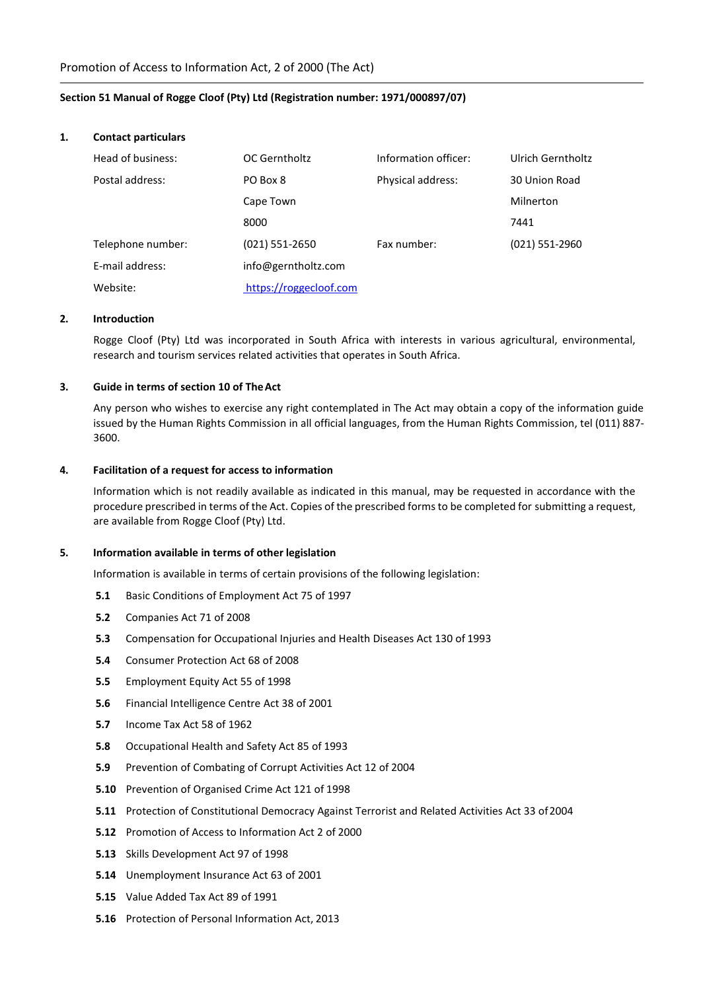## **Section 51 Manual of Rogge Cloof (Pty) Ltd (Registration number: 1971/000897/07)**

#### **1. Contact particulars**

| Head of business: | OC Gerntholtz          | Information officer: | Ulrich Gerntholtz |
|-------------------|------------------------|----------------------|-------------------|
| Postal address:   | PO Box 8               | Physical address:    | 30 Union Road     |
|                   | Cape Town              |                      | Milnerton         |
|                   | 8000                   |                      | 7441              |
| Telephone number: | (021) 551-2650         | Fax number:          | (021) 551-2960    |
| E-mail address:   | info@gerntholtz.com    |                      |                   |
| Website:          | https://roggecloof.com |                      |                   |

#### **2. Introduction**

Rogge Cloof (Pty) Ltd was incorporated in South Africa with interests in various agricultural, environmental, research and tourism services related activities that operates in South Africa.

#### **3. Guide in terms of section 10 of TheAct**

Any person who wishes to exercise any right contemplated in The Act may obtain a copy of the information guide issued by the Human Rights Commission in all official languages, from the Human Rights Commission, tel (011) 887- 3600.

## **4. Facilitation of a request for access to information**

Information which is not readily available as indicated in this manual, may be requested in accordance with the procedure prescribed in terms of the Act. Copies of the prescribed forms to be completed for submitting a request, are available from Rogge Cloof (Pty) Ltd.

## **5. Information available in terms of other legislation**

Information is available in terms of certain provisions of the following legislation:

- **5.1** Basic Conditions of Employment Act 75 of 1997
- **5.2** Companies Act 71 of 2008
- **5.3** Compensation for Occupational Injuries and Health Diseases Act 130 of 1993
- **5.4** Consumer Protection Act 68 of 2008
- **5.5** Employment Equity Act 55 of 1998
- **5.6** Financial Intelligence Centre Act 38 of 2001
- **5.7** Income Tax Act 58 of 1962
- **5.8** Occupational Health and Safety Act 85 of 1993
- **5.9** Prevention of Combating of Corrupt Activities Act 12 of 2004
- **5.10** Prevention of Organised Crime Act 121 of 1998
- **5.11** Protection of Constitutional Democracy Against Terrorist and Related Activities Act 33 of2004
- **5.12** Promotion of Access to Information Act 2 of 2000
- **5.13** Skills Development Act 97 of 1998
- **5.14** Unemployment Insurance Act 63 of 2001
- **5.15** Value Added Tax Act 89 of 1991
- **5.16** Protection of Personal Information Act, 2013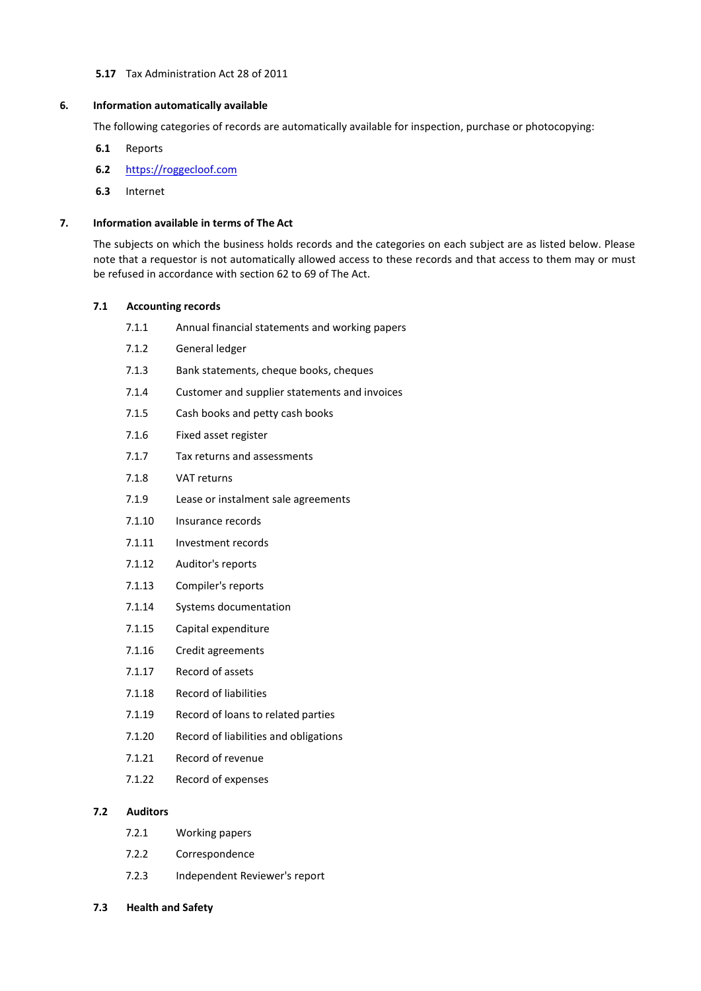# **5.17** Tax Administration Act 28 of 2011

## **6. Information automatically available**

The following categories of records are automatically available for inspection, purchase or photocopying:

- **6.1** Reports
- **6.2** https://roggecloof.com
- **6.3** Internet

# **7. Information available in terms of The Act**

The subjects on which the business holds records and the categories on each subject are as listed below. Please note that a requestor is not automatically allowed access to these records and that access to them may or must be refused in accordance with section 62 to 69 of The Act.

# **7.1 Accounting records**

| 7.1.1  | Annual financial statements and working papers |
|--------|------------------------------------------------|
| 7.1.2  | General ledger                                 |
| 7.1.3  | Bank statements, cheque books, cheques         |
| 7.1.4  | Customer and supplier statements and invoices  |
| 7.1.5  | Cash books and petty cash books                |
| 7.1.6  | Fixed asset register                           |
| 7.1.7  | Tax returns and assessments                    |
| 7.1.8  | <b>VAT returns</b>                             |
| 7.1.9  | Lease or instalment sale agreements            |
| 7.1.10 | Insurance records                              |
| 7.1.11 | Investment records                             |
| 7.1.12 | Auditor's reports                              |
| 7.1.13 | Compiler's reports                             |
| 7.1.14 | Systems documentation                          |
| 7.1.15 | Capital expenditure                            |
| 7.1.16 | Credit agreements                              |
| 7.1.17 | Record of assets                               |
| 7.1.18 | Record of liabilities                          |
| 7.1.19 | Record of loans to related parties             |
| 7.1.20 | Record of liabilities and obligations          |
| 7.1.21 | Record of revenue                              |
| 7.1.22 | Record of expenses                             |
|        |                                                |

# **7.2 Auditors**

- 7.2.1 Working papers
- 7.2.2 Correspondence
- 7.2.3 Independent Reviewer's report

## **7.3 Health and Safety**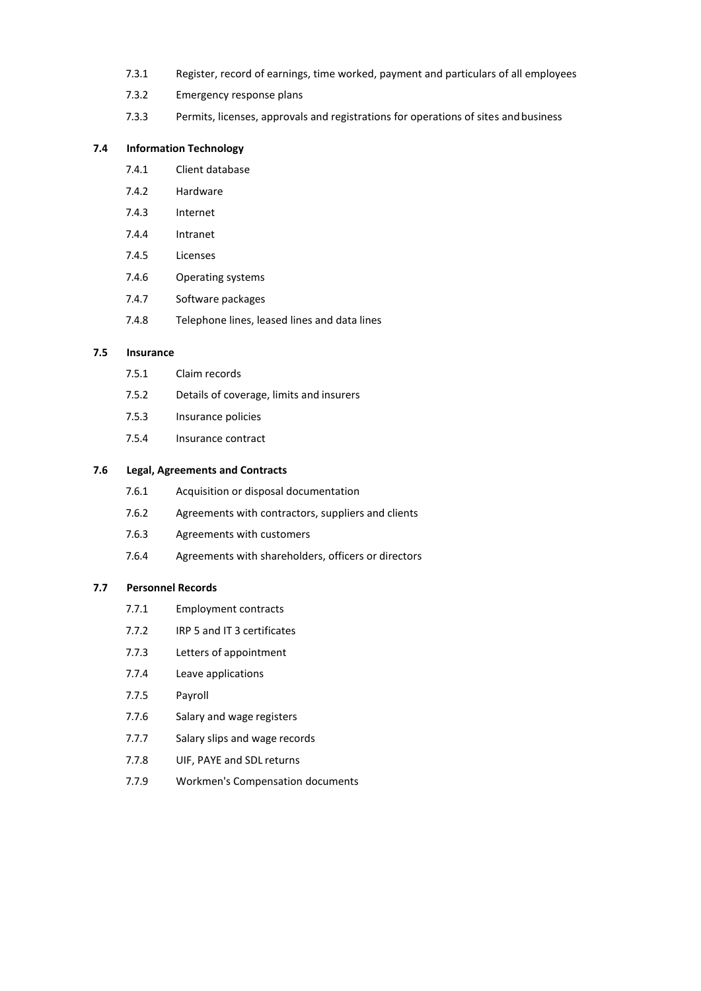- 7.3.1 Register, record of earnings, time worked, payment and particulars of all employees
- 7.3.2 Emergency response plans
- 7.3.3 Permits, licenses, approvals and registrations for operations of sites andbusiness

## **7.4 Information Technology**

- 7.4.1 Client database
- 7.4.2 Hardware
- 7.4.3 Internet
- 7.4.4 Intranet
- 7.4.5 Licenses
- 7.4.6 Operating systems
- 7.4.7 Software packages
- 7.4.8 Telephone lines, leased lines and data lines

## **7.5 Insurance**

- 7.5.1 Claim records
- 7.5.2 Details of coverage, limits and insurers
- 7.5.3 Insurance policies
- 7.5.4 Insurance contract

# **7.6 Legal, Agreements and Contracts**

- 7.6.1 Acquisition or disposal documentation
- 7.6.2 Agreements with contractors, suppliers and clients
- 7.6.3 Agreements with customers
- 7.6.4 Agreements with shareholders, officers or directors

## **7.7 Personnel Records**

- 7.7.1 Employment contracts
- 7.7.2 IRP 5 and IT 3 certificates
- 7.7.3 Letters of appointment
- 7.7.4 Leave applications
- 7.7.5 Payroll
- 7.7.6 Salary and wage registers
- 7.7.7 Salary slips and wage records
- 7.7.8 UIF, PAYE and SDL returns
- 7.7.9 Workmen's Compensation documents